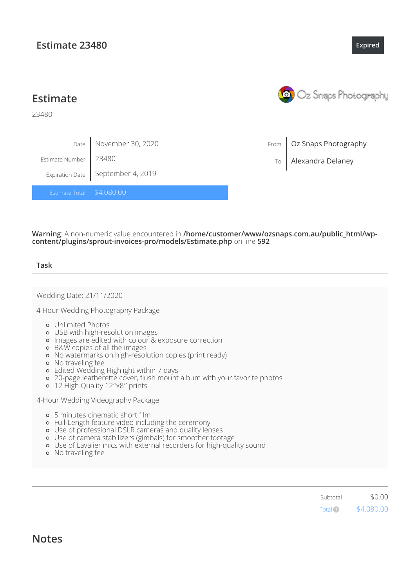**Estimate**

23480

|                           | Date November 30, 2020              |
|---------------------------|-------------------------------------|
| Estimate Number   23480   |                                     |
|                           | Expiration Date   September 4, 2019 |
| Estimate Total \$4,080.00 |                                     |

**Warning**: A non-numeric value encountered in **/home/customer/www/ozsnaps.com.au/public\_html/wpcontent/plugins/sprout-invoices-pro/models/Estimate.php** on line **592**

# **Task**

Wedding Date: 21/11/2020

4 Hour Wedding Photography Package

- Unlimited Photos
- USB with high-resolution images
- Images are edited with colour & exposure correction
- B&W copies of all the images
- No watermarks on high-resolution copies (print ready)
- No traveling fee
- Edited Wedding Highlight within 7 days
- 20-page leatherette cover, flush mount album with your favorite photos
- 12 High Quality 12′′x8′′ prints

4-Hour Wedding Videography Package

- o 5 minutes cinematic short film
- Full-Length feature video including the ceremony
- Use of professional DSLR cameras and quality lenses
- Use of camera stabilizers (gimbals) for smoother footage
- o Use of Lavalier mics with external recorders for high-quality sound
- No traveling fee

Subtotal \$0.00 \$4,080.00 Total?

**Notes**

# **Estimate 23480**



**[Expired](javascript:void(0))**

From Oz Snaps Photography

To Alexandra Delaney